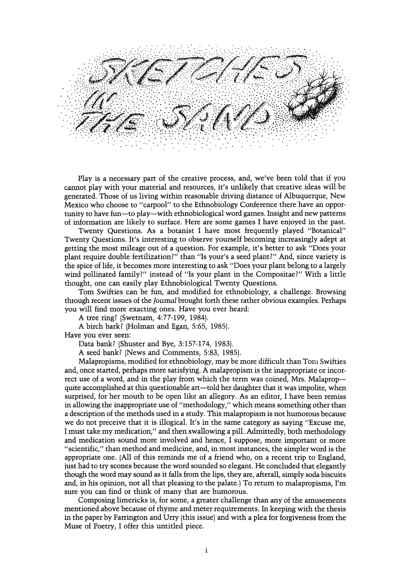

Play is a necessary part of the creative process, and, we've been told that if you cannot play with your material and resources, it's unlikely that creative ideas will be generated. Those of us living within reasonable driving distance of Albuquerque, New Mexico who choose to "carpool" to the Ethnobiology Conference there have an opportunity to have fun-to play-with ethnobiological word games. Insight and new patterns of information are likely to surface. Here are some games I have enjoyed in the past.

Twenty Questions. As a botanist I have most frequently played "Botanical" Twenty Questions. It's interesting to observe yourself becoming increasingly adept at getting the most mileage out of a question. For example, it's better to ask "Does your plant require double fertilization?" than "Is your's a seed plant?" And, since variety is the spice of life, it becomes more interesting to ask "Does your plant belong to a largely wind pollinated family?" instead of "Is your plant in the Compositae?" With a little thought, one can easily play Ethnobiological Twenty Questions.

Tom Swifties can be fun, and modified for ethnobiology, a challenge. Browsing through recent issues of the Journal brought forth these rather obvious examples. Perhaps you will find more exacting ones. Have you ever heard:

A tree ring? (Swetnam, 4:77-199, 1984).

A birch bark? (Holman and Egan, 5:65, 1985).

Have you ever seen:

Data bank? (Shuster and Bye, 3:157-174, 1983).

A seed bank? (News and Comments, 5:83, 1985).

Malapropisms, modified for ethnobiology, may be more difficult than Tom Swifties and, once started, perhaps more satisfying. A malapropism is the inappropriate or incorrect use of a word, and in the play from which the term was coined, Mrs. Malapropquite accomplished at this questionable art—told her daughter that it was impolite, when surprised, for her mouth to be open like an allegory. As an editor, I have been remiss in allowing the inappropriate use of "methodology," which means something other than a description of the methods used in a study. This malapropism is not humorous because we do not preceive that it is illogical. It's in the same category as saying "Excuse me, I must take my medication," and then swallowing a pill. Admittedly, both methodology and medication sound more involved and hence, I suppose, more important or more "scientific," than method and medicine, and, in most instances, the simpler word is the appropriate one. (All of this reminds me of a friend who, on a recent trip to England, just had to try scones because the word sounded so elegant. He concluded that elegantly though the word may sound as it falls from the lips, they are, afterall, simply soda biscuits and, in his opinion, not all that pleasing to the palate.) To return to malapropisms, I'm sure you can find or think of many that are humorous.

Composing limericks is, for some, a greater challenge than any of the amusements mentioned above because of rhyme and meter requirements. In keeping with the thesis in the paper by Farrington and Urry [this issue) and with a plea for forgiveness from the Muse of Poetry, I offer this untitled piece.